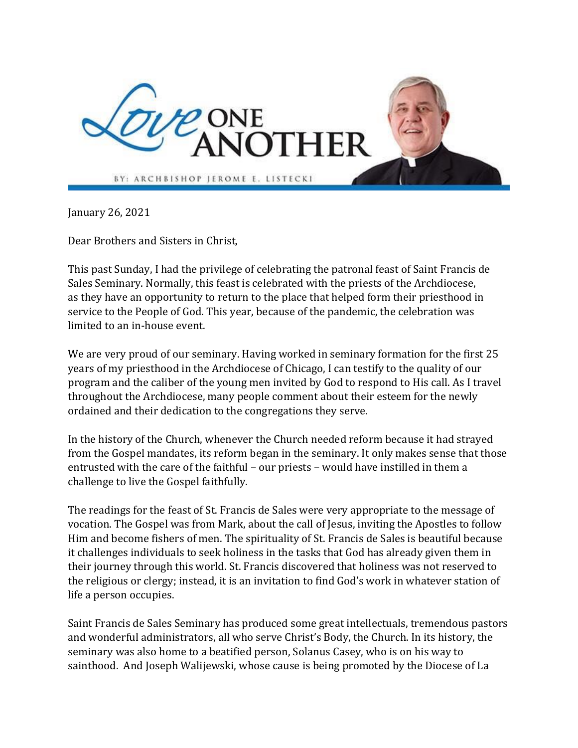

January 26, 2021

Dear Brothers and Sisters in Christ,

This past Sunday, I had the privilege of celebrating the patronal feast of Saint Francis de Sales Seminary. Normally, this feast is celebrated with the priests of the Archdiocese, as they have an opportunity to return to the place that helped form their priesthood in service to the People of God. This year, because of the pandemic, the celebration was limited to an in-house event.

We are very proud of our seminary. Having worked in seminary formation for the first 25 years of my priesthood in the Archdiocese of Chicago, I can testify to the quality of our program and the caliber of the young men invited by God to respond to His call. As I travel throughout the Archdiocese, many people comment about their esteem for the newly ordained and their dedication to the congregations they serve.

In the history of the Church, whenever the Church needed reform because it had strayed from the Gospel mandates, its reform began in the seminary. It only makes sense that those entrusted with the care of the faithful – our priests – would have instilled in them a challenge to live the Gospel faithfully.

The readings for the feast of St. Francis de Sales were very appropriate to the message of vocation. The Gospel was from Mark, about the call of Jesus, inviting the Apostles to follow Him and become fishers of men. The spirituality of St. Francis de Sales is beautiful because it challenges individuals to seek holiness in the tasks that God has already given them in their journey through this world. St. Francis discovered that holiness was not reserved to the religious or clergy; instead, it is an invitation to find God's work in whatever station of life a person occupies.

Saint Francis de Sales Seminary has produced some great intellectuals, tremendous pastors and wonderful administrators, all who serve Christ's Body, the Church. In its history, the seminary was also home to a beatified person, Solanus Casey, who is on his way to sainthood. And Joseph Walijewski, whose cause is being promoted by the Diocese of La